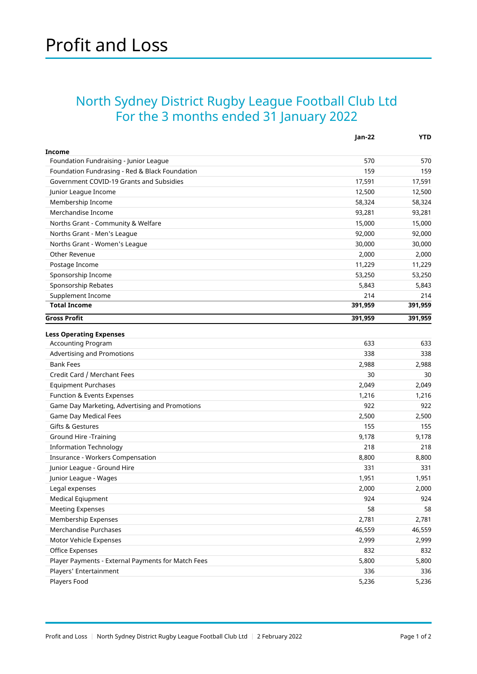## North Sydney District Rugby League Football Club Ltd For the 3 months ended 31 January 2022

|                                                    | Jan-22  | <b>YTD</b> |
|----------------------------------------------------|---------|------------|
| Income                                             |         |            |
| Foundation Fundraising - Junior League             | 570     | 570        |
| Foundation Fundrasing - Red & Black Foundation     | 159     | 159        |
| Government COVID-19 Grants and Subsidies           | 17,591  | 17,591     |
| Junior League Income                               | 12,500  | 12,500     |
| Membership Income                                  | 58,324  | 58,324     |
| Merchandise Income                                 | 93,281  | 93,281     |
| Norths Grant - Community & Welfare                 | 15,000  | 15,000     |
| Norths Grant - Men's League                        | 92,000  | 92,000     |
| Norths Grant - Women's League                      | 30,000  | 30,000     |
| Other Revenue                                      | 2,000   | 2,000      |
| Postage Income                                     | 11,229  | 11,229     |
| Sponsorship Income                                 | 53,250  | 53,250     |
| Sponsorship Rebates                                | 5,843   | 5,843      |
| Supplement Income                                  | 214     | 214        |
| <b>Total Income</b>                                | 391,959 | 391,959    |
| <b>Gross Profit</b>                                | 391,959 | 391,959    |
| <b>Less Operating Expenses</b>                     |         |            |
| Accounting Program                                 | 633     | 633        |
| Advertising and Promotions                         | 338     | 338        |
| <b>Bank Fees</b>                                   | 2,988   | 2,988      |
| Credit Card / Merchant Fees                        | 30      | 30         |
| <b>Equipment Purchases</b>                         | 2,049   | 2,049      |
| Function & Events Expenses                         | 1,216   | 1,216      |
| Game Day Marketing, Advertising and Promotions     | 922     | 922        |
| Game Day Medical Fees                              | 2,500   | 2,500      |
| Gifts & Gestures                                   | 155     | 155        |
| Ground Hire -Training                              | 9,178   | 9,178      |
| <b>Information Technology</b>                      | 218     | 218        |
| Insurance - Workers Compensation                   | 8,800   | 8,800      |
| Junior League - Ground Hire                        | 331     | 331        |
| Junior League - Wages                              | 1,951   | 1,951      |
| Legal expenses                                     | 2,000   | 2,000      |
| <b>Medical Eqiupment</b>                           | 924     | 924        |
| <b>Meeting Expenses</b>                            | 58      | 58         |
| Membership Expenses                                | 2,781   | 2,781      |
| Merchandise Purchases                              | 46,559  | 46,559     |
| Motor Vehicle Expenses                             | 2,999   | 2,999      |
| Office Expenses                                    | 832     | 832        |
| Player Payments - External Payments for Match Fees | 5,800   | 5,800      |
| Players' Entertainment                             | 336     | 336        |
| Players Food                                       | 5,236   | 5,236      |